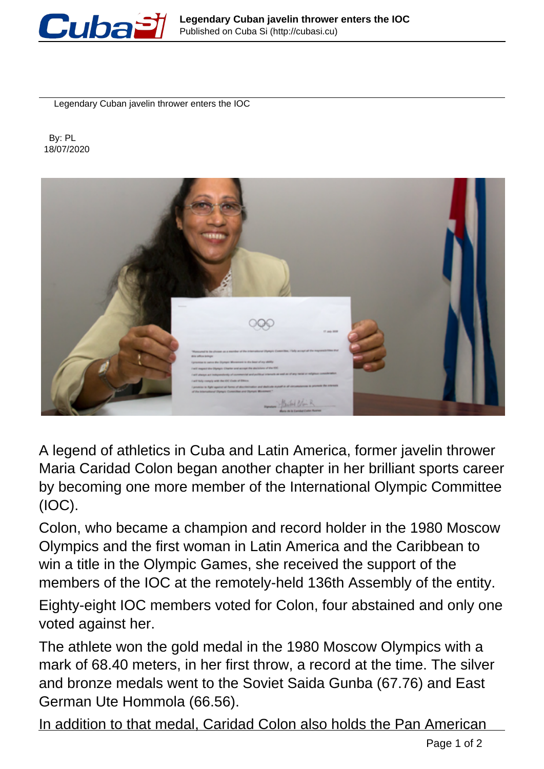

Legendary Cuban javelin thrower enters the IOC

 By: PL 18/07/2020



A legend of athletics in Cuba and Latin America, former javelin thrower Maria Caridad Colon began another chapter in her brilliant sports career by becoming one more member of the International Olympic Committee (IOC).

Colon, who became a champion and record holder in the 1980 Moscow Olympics and the first woman in Latin America and the Caribbean to win a title in the Olympic Games, she received the support of the members of the IOC at the remotely-held 136th Assembly of the entity.

Eighty-eight IOC members voted for Colon, four abstained and only one voted against her.

The athlete won the gold medal in the 1980 Moscow Olympics with a mark of 68.40 meters, in her first throw, a record at the time. The silver and bronze medals went to the Soviet Saida Gunba (67.76) and East German Ute Hommola (66.56).

In addition to that medal, Caridad Colon also holds the Pan American